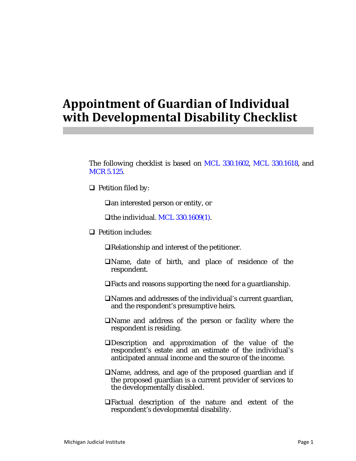## **Appointment of Guardian of Individual with Developmental Disability Checklist**

The following checklist is based on MCL 330.1602, MCL 330.1618, and MCR 5.125.

 $\Box$  Petition filed by:

□an interested person or entity, or

The individual. MCL  $330.1609(1)$ .

**D** Petition includes:

Relationship and interest of the petitioner.

- Name, date of birth, and place of residence of the respondent.
- Facts and reasons supporting the need for a guardianship.
- Names and addresses of the individual's current guardian, and the respondent's presumptive heirs.
- Name and address of the person or facility where the respondent is residing.
- Description and approximation of the value of the respondent's estate and an estimate of the individual's anticipated annual income and the source of the income.
- Name, address, and age of the proposed guardian and if the proposed guardian is a current provider of services to the developmentally disabled.
- Factual description of the nature and extent of the respondent's developmental disability.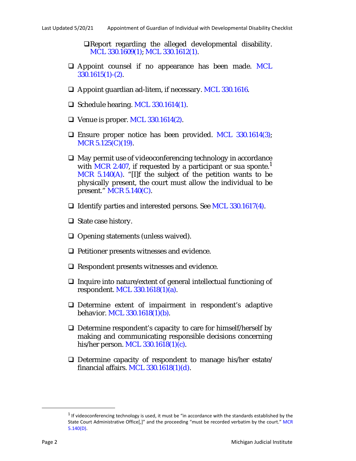Report regarding the alleged developmental disability. MCL 330.1609(1); MCL 330.1612(1).

- $\Box$  Appoint counsel if no appearance has been made. MCL 330.1615(1)-(2).
- □ Appoint guardian ad-litem, if necessary. MCL 330.1616.
- $\Box$  Schedule hearing. MCL 330.1614(1).
- $\Box$  Venue is proper. MCL 330.1614(2).
- $\Box$  Ensure proper notice has been provided. MCL 330.1614(3); MCR 5.125(C)(19).
- $\Box$  May permit use of videoconferencing technology in accordance with MCR 2.407, if requested by a participant or sua sponte.<sup>1</sup> MCR 5.140(A). "[I]f the subject of the petition wants to be physically present, the court must allow the individual to be present." MCR 5.140(C).
- $\Box$  Identify parties and interested persons. See MCL 330.1617(4).
- $\Box$  State case history.
- $\Box$  Opening statements (unless waived).
- $\Box$  Petitioner presents witnesses and evidence.
- $\Box$  Respondent presents witnesses and evidence.
- $\Box$  Inquire into nature/extent of general intellectual functioning of respondent. MCL 330.1618(1)(a).
- Determine extent of impairment in respondent's adaptive behavior. MCL 330.1618(1)(b).
- $\Box$  Determine respondent's capacity to care for himself/herself by making and communicating responsible decisions concerning his/her person. MCL 330.1618(1)(c).
- $\Box$  Determine capacity of respondent to manage his/her estate/ financial affairs. MCL  $330.1618(1)(d)$ .

 $1$  If videoconferencing technology is used, it must be "in accordance with the standards established by the State Court Administrative Office[,]" and the proceeding "must be recorded verbatim by the court." MCR 5.140(D).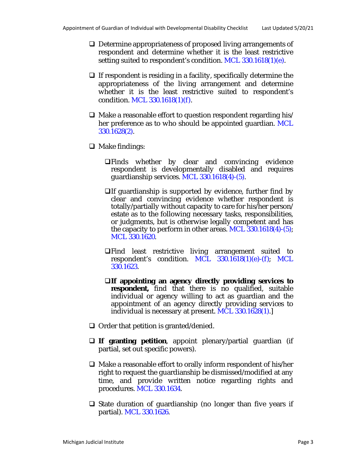- □ Determine appropriateness of proposed living arrangements of respondent and determine whether it is the least restrictive setting suited to respondent's condition. MCL 330.1618(1)(e).
- $\Box$  If respondent is residing in a facility, specifically determine the appropriateness of the living arrangement and determine whether it is the least restrictive suited to respondent's condition. MCL 330.1618(1)(f).
- $\Box$  Make a reasonable effort to question respondent regarding his/ her preference as to who should be appointed guardian. MCL 330.1628(2).
- $\Box$  Make findings:
	- Finds whether by clear and convincing evidence respondent is developmentally disabled and requires guardianship services. MCL 330.1618(4)-(5).
	- $\Box$  If guardianship is supported by evidence, further find by clear and convincing evidence whether respondent is totally/partially without capacity to care for his/her person/ estate as to the following necessary tasks, responsibilities, or judgments, but is otherwise legally competent and has the capacity to perform in other areas. MCL 330.1618(4)-(5); MCL 330.1620.
	- Find least restrictive living arrangement suited to respondent's condition. MCL  $330.1618(1)(e)$ -(f); MCL 330.1623.
	- **If appointing an agency directly providing services to** respondent, find that there is no qualified, suitable individual or agency willing to act as guardian and the appointment of an agency directly providing services to individual is necessary at present. MCL 330.1628(1).]
- $\Box$  Order that petition is granted/denied.
- **If granting petition**, appoint plenary/partial guardian (if partial, set out specific powers).
- $\Box$  Make a reasonable effort to orally inform respondent of his/her right to request the guardianship be dismissed/modified at any time, and provide written notice regarding rights and procedures. MCL 330.1634.
- $\Box$  State duration of guardianship (no longer than five years if partial). MCL 330.1626.